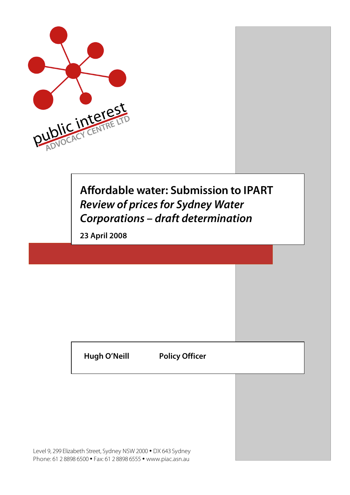

# **Affordable water: Submission to IPART Review of prices for Sydney Water Corporations – draft determination**

**23 April 2008**

**Hugh O'Neill Policy Officer**

Level 9, 299 Elizabeth Street, Sydney NSW 2000 • DX 643 Sydney Phone: 61 2 8898 6500 • Fax: 61 2 8898 6555 • www.piac.asn.au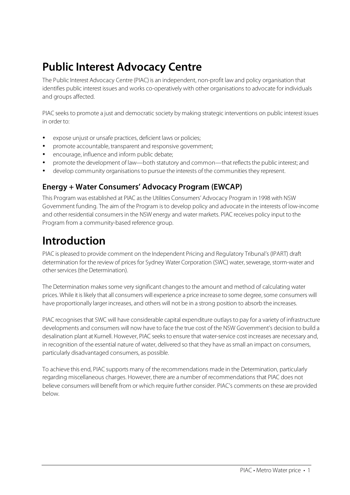# **Public Interest Advocacy Centre**

The Public Interest Advocacy Centre (PIAC) is an independent, non-profit law and policy organisation that identifies public interest issues and works co-operatively with other organisations to advocate for individuals and groups affected.

PIAC seeks to promote a just and democratic society by making strategic interventions on public interest issues in order to:

- expose unjust or unsafe practices, deficient laws or policies;
- promote accountable, transparent and responsive government;
- encourage, influence and inform public debate;
- promote the development of law—both statutory and common—that reflectsthe public interest; and
- develop community organisations to pursue the interests of the communities they represent.

### **Energy + Water Consumers' Advocacy Program (EWCAP)**

This Program was established at PIAC asthe Utilities Consumers' Advocacy Program in 1998 with NSW Government funding. The aim of the Program isto develop policy and advocate in the interests of low-income and other residential consumersin the NSW energy and water markets. PIAC receives policy input to the Program from a community-based reference group.

## **Introduction**

PIAC is pleased to provide comment on the Independent Pricing and Regulatory Tribunal's (IPART) draft determination for the review of prices for Sydney Water Corporation (SWC) water, sewerage, storm-water and otherservices(the Determination).

The Determination makes some very significant changesto the amount and method of calculating water prices. While it islikely that all consumers will experience a price increase to some degree,some consumers will have proportionally larger increases, and others will not be in a strong position to absorb the increases.

PIAC recognisesthat SWC will have considerable capital expenditure outlaysto pay for a variety of infrastructure developments and consumers will now have to face the true cost of the NSW Government's decision to build a desalination plant at Kurnell. However, PIAC seeks to ensure that water-service cost increases are necessary and, in recognition of the essential nature of water, delivered so that they have as small an impact on consumers, particularly disadvantaged consumers, as possible.

To achieve this end, PIAC supports many of the recommendations made in the Determination, particularly regarding miscellaneous charges. However, there are a number of recommendations that PIAC does not believe consumers will benefit from or which require further consider. PIAC's comments on these are provided below.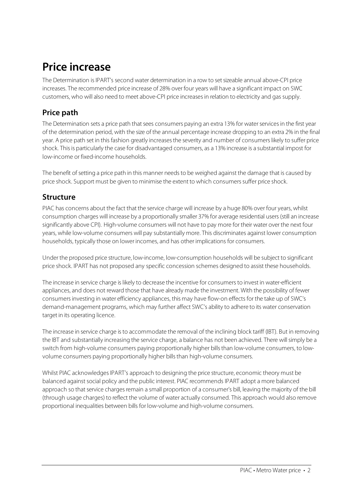# **Price increase**

The Determination is IPART's second water determination in a row to set sizeable annual above-CPI price increases. The recommended price increase of 28% over four years will have a significant impact on SWC customers, who will also need to meet above-CPI price increasesin relation to electricity and gas supply.

### **Price path**

The Determination sets a price path that sees consumers paying an extra 13% for water services in the first year of the determination period, with the size of the annual percentage increase dropping to an extra 2% in the final year. A price path set in this fashion greatly increasesthe severity and number of consumerslikely to suffer price shock. Thisis particularly the case for disadvantaged consumers, as a 13% increase is a substantial impost for low-income or fixed-income households.

The benefit of setting a price path in this manner needsto be weighed against the damage that is caused by price shock. Support must be given to minimise the extent to which consumers suffer price shock.

### **Structure**

PIAC has concerns about the fact that the service charge will increase by a huge 80% over four years, whilst consumption charges will increase by a proportionally smaller 37% for average residential users (still an increase significantly above CPI). High-volume consumers will not have to pay more for their water over the next four years, while low-volume consumers will pay substantially more. This discriminates against lower consumption households, typically those on lower incomes, and has other implications for consumers.

Under the proposed price structure, low-income, low-consumption households will be subject to significant price shock. IPART has not proposed any specific concession schemes designed to assist these households.

The increase in service charge is likely to decrease the incentive for consumers to invest in water-efficient appliances, and does not reward those that have already made the investment. With the possibility of fewer consumersinvesting in water efficiency appliances, this may have flow-on effects for the take up of SWC's demand-management programs, which may further affect SWC's ability to adhere to its water conservation target in its operating licence.

The increase in service charge is to accommodate the removal of the inclining block tariff (IBT). But in removing the IBT and substantially increasing the service charge, a balance has not been achieved. There will simply be a switch from high-volume consumers paying proportionally higher bills than low-volume consumers, to lowvolume consumers paying proportionally higher bills than high-volume consumers.

Whilst PIAC acknowledges IPART's approach to designing the price structure, economic theory must be balanced against social policy and the public interest. PIAC recommends IPART adopt a more balanced approach so that service charges remain a small proportion of a consumer's bill, leaving the majority of the bill (through usage charges) to reflect the volume of water actually consumed. This approach would also remove proportional inequalities between bills for low-volume and high-volume consumers.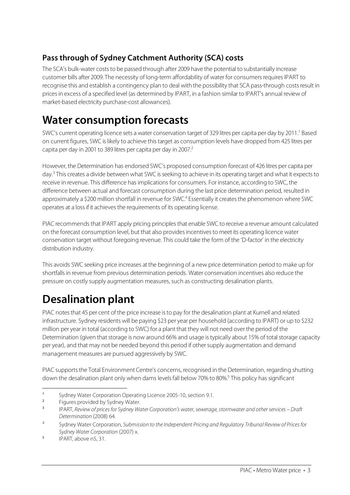## **Pass through of Sydney Catchment Authority (SCA) costs**

The SCA's bulk-water costs to be passed through after 2009 have the potential to substantially increase customer bills after 2009. The necessity of long-term affordability of water for consumers requires IPART to recognise this and establish a contingency plan to deal with the possibility that SCA pass-through costsresult in pricesin excess of a specified level (as determined by IPART, in a fashion similar to IPART's annual review of market-based electricity purchase-cost allowances).

## **Water consumption forecasts**

SWC's current operating licence sets a water conservation target of 329 litres per capita per day by 2011.<sup>1</sup> Based on current figures, SWC islikely to achieve thistarget as consumption levels have dropped from 425 litres per capita per day in 2001 to 389 litres per capita per day in 2007.<sup>2</sup>

However, the Determination has endorsed SWC's proposed consumption forecast of 426 litres per capita per day.<sup>3</sup> This creates a divide between what SWC is seeking to achieve in its operating target and what it expects to receive in revenue. This difference has implications for consumers. For instance, according to SWC, the difference between actual and forecast consumption during the last price determination period, resulted in approximately a \$200 million shortfall in revenue for SWC.<sup>4</sup> Essentially it creates the phenomenon where SWC operates at a loss if it achieves the requirements of its operating license.

PIAC recommends that IPART apply pricing principlesthat enable SWC to receive a revenue amount calculated on the forecast consumption level, but that also providesincentivesto meet its operating licence water conservation target without foregoing revenue. This could take the form of the 'D-factor' in the electricity distribution industry.

This avoids SWC seeking price increases at the beginning of a new price determination period to make up for shortfalls in revenue from previous determination periods. Water conservation incentives also reduce the pressure on costly supply augmentation measures,such as constructing desalination plants.

# **Desalination plant**

PIAC notes that 45 per cent of the price increase is to pay for the desalination plant at Kurnell and related infrastructure. Sydney residents will be paying \$23 per year per household (according to IPART) or up to \$232 million per year in total (according to SWC) for a plant that they will not need over the period of the Determination (given that storage is now around 66% and usage is typically about 15% of total storage capacity per year), and that may not be needed beyond this period if othersupply augmentation and demand management measures are pursued aggressively by SWC.

PIAC supports the Total Environment Centre's concerns, recognised in the Determination, regarding shutting down the desalination plant only when dams levels fall below 70% to 80%.<sup>5</sup> This policy has significant

 $\overline{a}$ 

<sup>&</sup>lt;sup>1</sup> Sydney Water Corporation Operating Licence 2005-10, section 9.1.

 $\frac{2}{3}$  Figures provided by Sydney Water.

<sup>3</sup> IPART, Review of prices for Sydney Water Corporation's water, sewerage, stormwater and other services – Draft Determination (2008) 64.

<sup>&</sup>lt;sup>4</sup> Sydney Water Corporation, Submission to the Independent Pricing and Regulatory Tribunal Review of Prices for Sydney Water Corporation (2007) x.

<sup>5</sup> IPART, above n5, 31.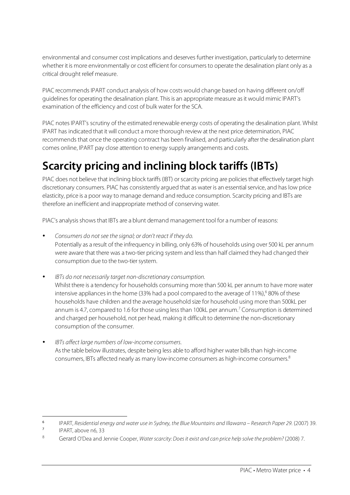environmental and consumer cost implications and deserves further investigation, particularly to determine whether it is more environmentally or cost efficient for consumersto operate the desalination plant only as a critical drought relief measure.

PIAC recommends IPART conduct analysis of how costs would change based on having different on/off guidelines for operating the desalination plant. This is an appropriate measure as it would mimic IPART's examination of the efficiency and cost of bulk water for the SCA.

PIAC notes IPART's scrutiny of the estimated renewable energy costs of operating the desalination plant. Whilst IPART has indicated that it will conduct a more thorough review at the next price determination, PIAC recommends that once the operating contract has been finalised, and particularly after the desalination plant comes online, IPART pay close attention to energy supply arrangements and costs.

# **Scarcity pricing and inclining block tariffs (IBTs)**

PIAC does not believe that inclining block tariffs (IBT) or scarcity pricing are policies that effectively target high discretionary consumers. PIAC has consistently argued that as water is an essential service, and has low price elasticity, price is a poor way to manage demand and reduce consumption. Scarcity pricing and IBTs are therefore an inefficient and inappropriate method of conserving water.

PIAC's analysis shows that IBTs are a blunt demand management tool for a number of reasons:

- Consumers do not see the signal; or don't react if they do. Potentially as a result of the infrequency in billing, only 63% of households using over 500 kL per annum were aware that there was a two-tier pricing system and less than half claimed they had changed their consumption due to the two-tier system.
- IBTs do not necessarily target non-discretionary consumption. Whilst there is a tendency for households consuming more than 500 kL per annum to have more water intensive appliances in the home (33% had a pool compared to the average of 11%),<sup>6</sup> 80% of these households have children and the average household size for household using more than 500kL per annum is 4.7, compared to 1.6 for those using less than 100kL per annum.<sup>7</sup> Consumption is determined and charged per household, not per head, making it difficult to determine the non-discretionary consumption of the consumer.
- IBTs affect large numbers of low-income consumers. As the table below illustrates, despite being less able to afford higher water bills than high-income consumers, IBTs affected nearly as many low-income consumers as high-income consumers. 8

 $\overline{a}$ 

<sup>&</sup>lt;sup>6</sup> IPART, Residential energy and water use in Sydney, the Blue Mountains and Illawarra – Research Paper 29. (2007) 39.<br><sup>7</sup> PART above n<sup>6</sup>.<sup>22</sup>

IPART, above n6, 33

<sup>8</sup> Gerard O'Dea and Jennie Cooper, Water scarcity: Does it exist and can price help solve the problem? (2008) 7.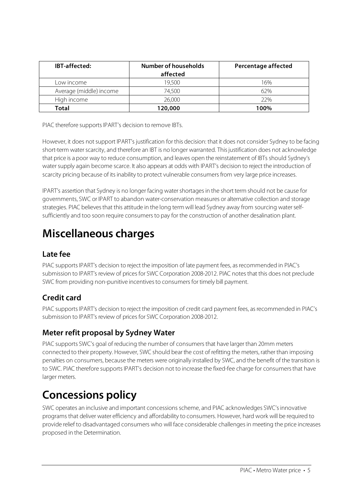| <b>IBT-affected:</b>    | Number of households<br>affected | <b>Percentage affected</b> |
|-------------------------|----------------------------------|----------------------------|
| Low income i            | 19,500                           | 16%                        |
| Average (middle) income | 74.500                           | 62%                        |
| High income             | 26,000                           | 22%                        |
| Total                   | 120,000                          | 100%                       |

PIAC therefore supports IPART's decision to remove IBTs.

However, it does not support IPART's justification for this decision: that it does not consider Sydney to be facing short-term water scarcity, and therefore an IBT is no longer warranted. This justification does not acknowledge that price is a poor way to reduce consumption, and leaves open the reinstatement of IBTs should Sydney's watersupply again become scarce. It also appears at odds with IPART's decision to reject the introduction of scarcity pricing because of itsinability to protect vulnerable consumers from very large price increases.

IPART's assertion that Sydney is no longer facing watershortagesin the short term should not be cause for governments, SWC or IPART to abandon water-conservation measures or alternative collection and storage strategies. PIAC believesthat this attitude in the long term will lead Sydney away from sourcing waterselfsufficiently and too soon require consumersto pay for the construction of another desalination plant.

## **Miscellaneous charges**

### **Late fee**

PIAC supports IPART's decision to reject the imposition of late payment fees, as recommended in PIAC's submission to IPART's review of prices for SWC Corporation 2008-2012. PIAC notesthat this does not preclude SWC from providing non-punitive incentives to consumers for timely bill payment.

### **Credit card**

PIAC supports IPART's decision to reject the imposition of credit card payment fees, as recommended in PIAC's submission to IPART's review of prices for SWC Corporation 2008-2012.

### **Meter refit proposal by Sydney Water**

PIAC supports SWC's goal of reducing the number of consumers that have larger than 20mm meters connected to their property. However, SWC should bear the cost of refitting the meters, rather than imposing penalties on consumers, because the meters were originally installed by SWC, and the benefit of the transition is to SWC. PIAC therefore supports IPART's decision not to increase the fixed-fee charge for consumers that have larger meters.

# **Concessions policy**

SWC operates an inclusive and important concessions scheme, and PIAC acknowledges SWC's innovative programs that deliver water efficiency and affordability to consumers. However, hard work will be required to provide relief to disadvantaged consumers who will face considerable challengesin meeting the price increases proposed in the Determination.